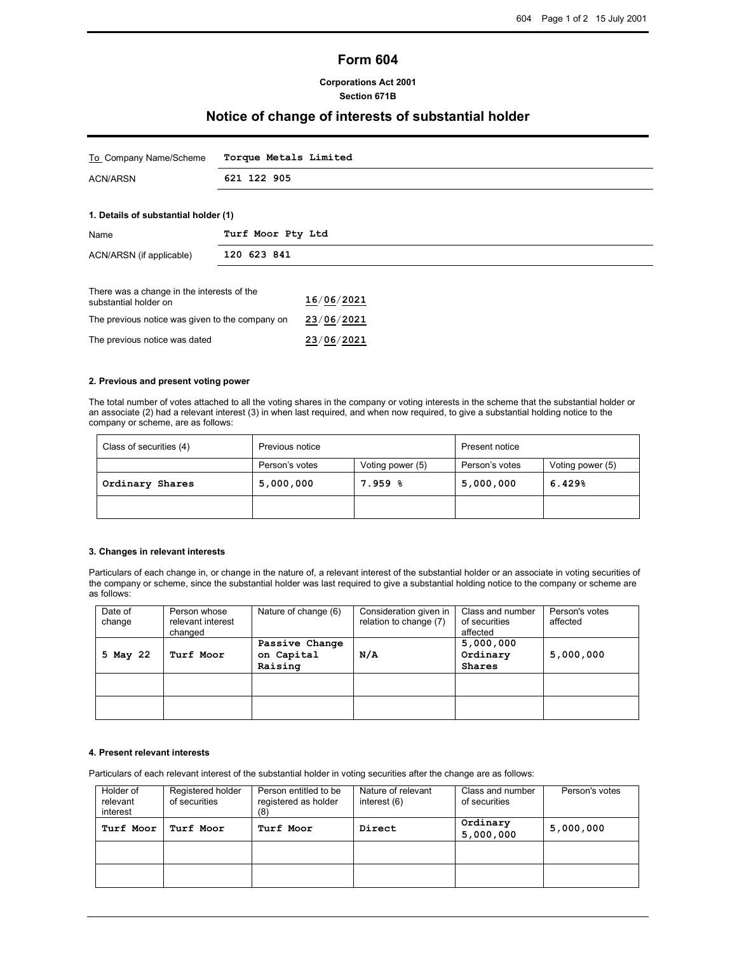# **Form 604**

## **Corporations Act 2001 Section 671B**

# **Notice of change of interests of substantial holder**

| To Company Name/Scheme                                              | Torque Metals Limited |  |  |
|---------------------------------------------------------------------|-----------------------|--|--|
| <b>ACN/ARSN</b>                                                     | 621 122 905           |  |  |
|                                                                     |                       |  |  |
| 1. Details of substantial holder (1)                                |                       |  |  |
| Name                                                                | Turf Moor Pty Ltd     |  |  |
| ACN/ARSN (if applicable)                                            | 120 623 841           |  |  |
|                                                                     |                       |  |  |
| There was a change in the interests of the<br>substantial holder on | 16/06/2021            |  |  |

| The previous notice was given to the company on | 23/06/2021 |
|-------------------------------------------------|------------|
| The previous notice was dated                   | 23/06/2021 |

### **2. Previous and present voting power**

The total number of votes attached to all the voting shares in the company or voting interests in the scheme that the substantial holder or an associate (2) had a relevant interest (3) in when last required, and when now required, to give a substantial holding notice to the company or scheme, are as follows:

| Class of securities (4) | Previous notice |                  | <b>Present notice</b> |                  |
|-------------------------|-----------------|------------------|-----------------------|------------------|
|                         | Person's votes  | Voting power (5) | Person's votes        | Voting power (5) |
| Ordinary Shares         | 5,000,000       | $7.959$ $8$      | 5,000,000             | 6.429%           |
|                         |                 |                  |                       |                  |

### **3. Changes in relevant interests**

Particulars of each change in, or change in the nature of, a relevant interest of the substantial holder or an associate in voting securities of the company or scheme, since the substantial holder was last required to give a substantial holding notice to the company or scheme are as follows:

| Date of<br>change | Person whose<br>relevant interest<br>changed | Nature of change (6)                    | Consideration given in<br>relation to change (7) | Class and number<br>of securities<br>affected | Person's votes<br>affected |
|-------------------|----------------------------------------------|-----------------------------------------|--------------------------------------------------|-----------------------------------------------|----------------------------|
| 5 May 22          | Turf Moor                                    | Passive Change<br>on Capital<br>Raising | $N/\Lambda$                                      | 5,000,000<br>Ordinary<br>Shares               | 5,000,000                  |
|                   |                                              |                                         |                                                  |                                               |                            |
|                   |                                              |                                         |                                                  |                                               |                            |

## **4. Present relevant interests**

Particulars of each relevant interest of the substantial holder in voting securities after the change are as follows:

| Holder of | Registered holder | Person entitled to be | Nature of relevant | Class and number      | Person's votes |
|-----------|-------------------|-----------------------|--------------------|-----------------------|----------------|
| relevant  | of securities     | registered as holder  | interest (6)       | of securities         |                |
| interest  |                   | (8)                   |                    |                       |                |
| Turf Moor | Turf Moor         | Turf Moor             | Direct             | Ordinary<br>5,000,000 | 5,000,000      |
|           |                   |                       |                    |                       |                |
|           |                   |                       |                    |                       |                |